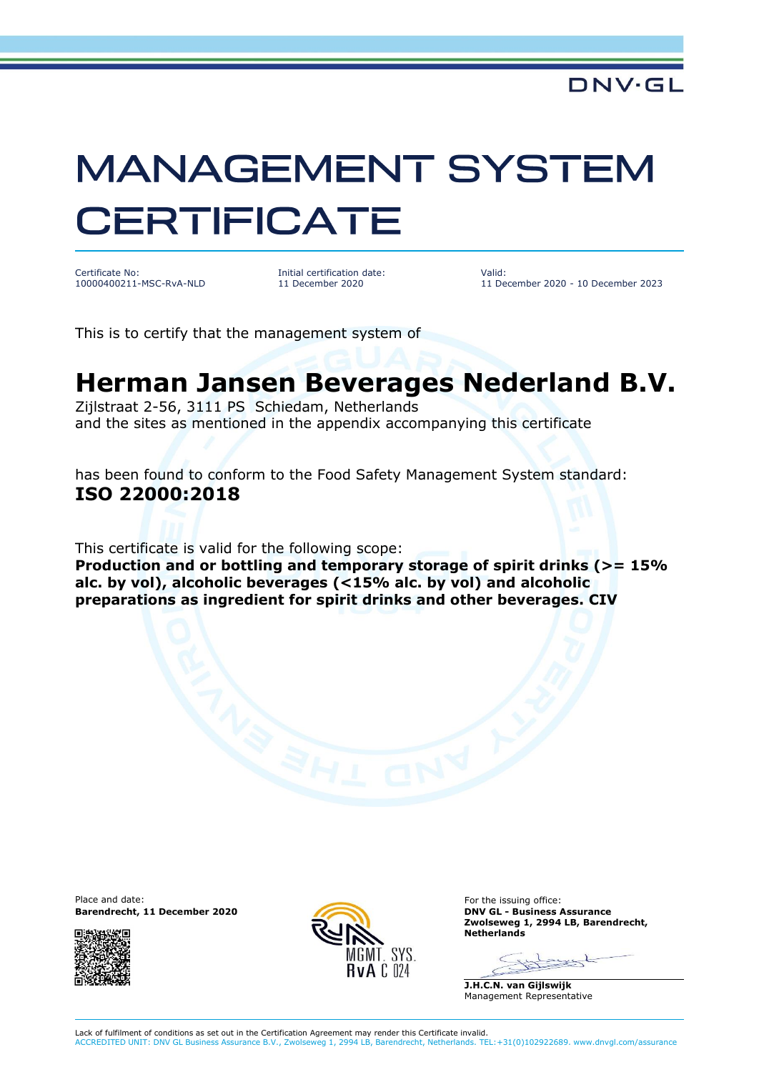## **MANAGEMENT SYSTEM CERTIFICATE**

Certificate No: 10000400211-MSC-RvA-NLD Initial certification date: 11 December 2020

Valid: 11 December 2020 - 10 December 2023

This is to certify that the management system of

## **Herman Jansen Beverages Nederland B.V.**

Zijlstraat 2-56, 3111 PS Schiedam, Netherlands and the sites as mentioned in the appendix accompanying this certificate

has been found to conform to the Food Safety Management System standard: **ISO 22000:2018**

This certificate is valid for the following scope:

**Production and or bottling and temporary storage of spirit drinks (>= 15% alc. by vol), alcoholic beverages (<15% alc. by vol) and alcoholic preparations as ingredient for spirit drinks and other beverages. CIV**

Place and date: For the issuing office: **Barendrecht, 11 December 2020 DNV GL - Business Assurance**





**Zwolseweg 1, 2994 LB, Barendrecht, Netherlands**

Seed

**J.H.C.N. van Gijlswijk** Management Representative

Lack of fulfilment of conditions as set out in the Certification Agreement may render this Certificate invalid. ACCREDITED UNIT: DNV GL Business Assurance B.V., Zwolseweg 1, 2994 LB, Barendrecht, Netherlands. TEL:+31(0)102922689. www.dnvgl.com/assurance